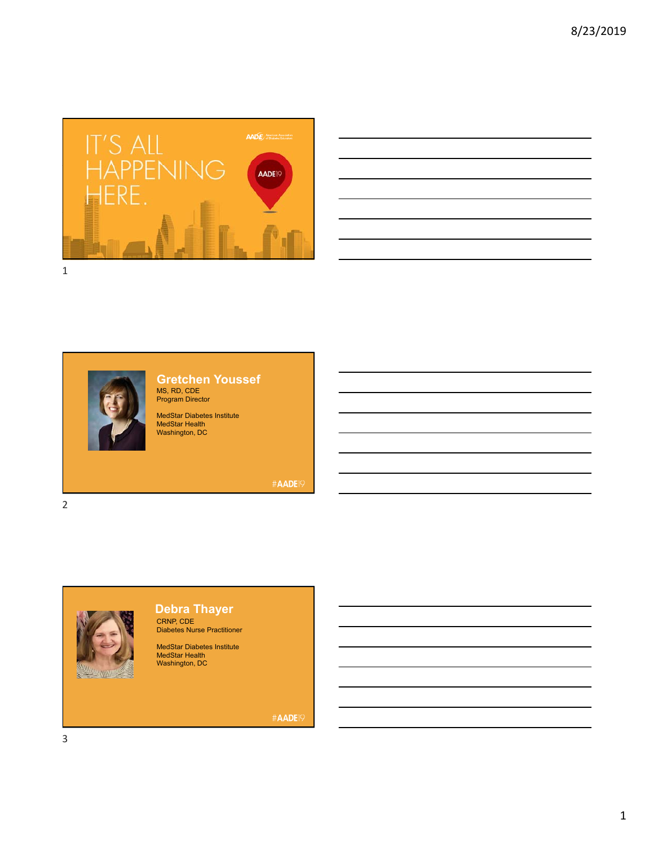

| <u> 1988 - Johann Barbara, martin amerikan basar dan berasal dalam berasal dalam berasal dalam berasal dalam bera</u> |  |  | <b>Service Contract Contract</b> |
|-----------------------------------------------------------------------------------------------------------------------|--|--|----------------------------------|
| <u> 1989 - Johann Stoff, amerikansk politiker (d. 1989)</u>                                                           |  |  |                                  |
| and the control of the control of the control of the control of the control of the control of the control of the      |  |  |                                  |
|                                                                                                                       |  |  | ___                              |
| <u> 1989 - Andrea Santa Andrea Andrea Andrea Andrea Andrea Andrea Andrea Andrea Andrea Andrea Andrea Andrea Andr</u>  |  |  |                                  |
|                                                                                                                       |  |  |                                  |



### **Gretchen Youssef** MS, RD, CDE Program Director

MedStar Diabetes Institute MedStar Health Washington, DC

#AADE19



# **Debra Thayer**

CRNP, CDE Diabetes Nurse Practitioner

MedStar Diabetes Institute MedStar Health Washington, DC

#AADE<sup>19</sup>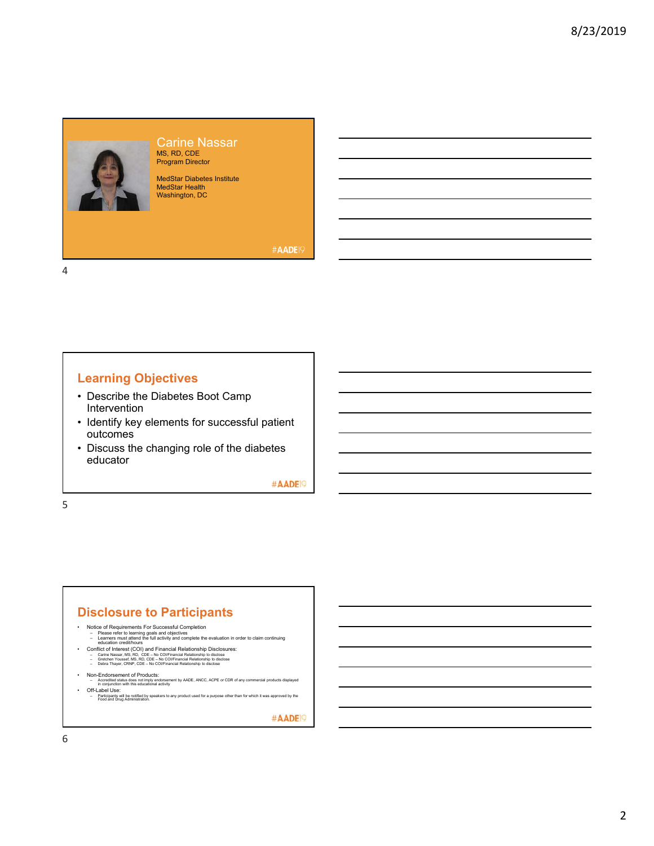

Carine Nassar MS, RD, CDE Program Director

MedStar Diabetes Institute MedStar Health Washington, DC

#AADE<sup>19</sup>

4

### **Learning Objectives**

- Describe the Diabetes Boot Camp Intervention
- Identify key elements for successful patient outcomes
- Discuss the changing role of the diabetes educator

#AADE<sup>19</sup>

5

#### **Disclosure to Participants**

- 
- Notice of Requirements For Successful Completion<br>
Please refer to learning goals and objectives<br>
General methanic the full activity and complete the evaluation in order to claim continuing<br>
douclation credithours<br>
	-
	-
	-
- 
- Non-Endorsement of Products:<br>– Accredited status does not imply endorsement by AADE, ANCC, ACPE or CDR of any commercial products displayed<br>– in conjunction with this educational activity

• Off-Label Use:<br>– Participants will be notified by speakers to any product used for a purpose other than for which it was approved by the<br>Food and Drug Administration.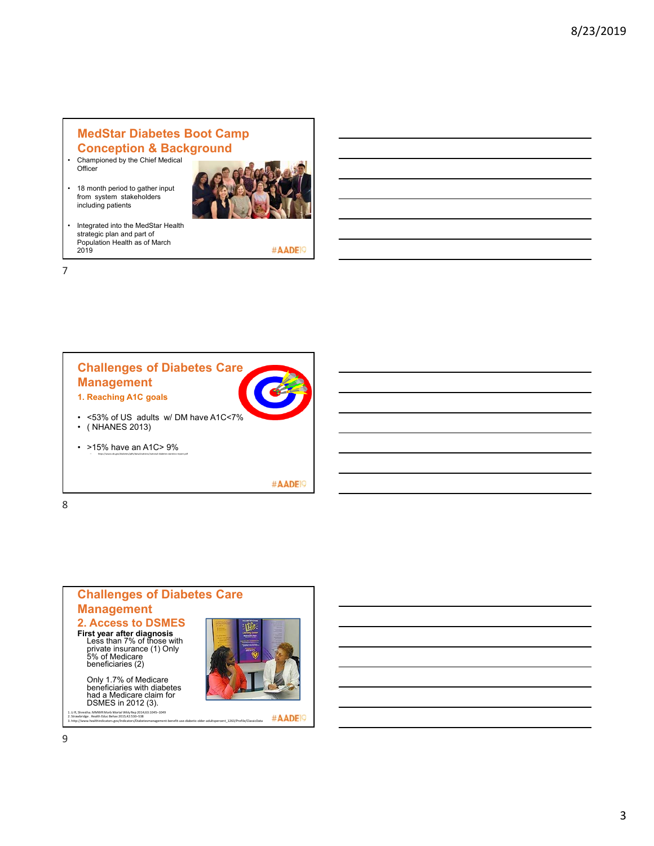## **MedStar Diabetes Boot Camp Conception & Background**

- Championed by the Chief Medical Officer
- 18 month period to gather input from system stakeholders including patients



• Integrated into the MedStar Health strategic plan and part of Population Health as of March 2019

#AADE<sup>19</sup>





#AADE<sup>19</sup>

8



1. Li R, Shrestha. MMWR Morb Mortal Wkiy Rep 2014;63:1045–1049<br>2. Strawbridge . Health Educ Behav 2015;42:530–538<br>3. http://www.healthindicators.gov/Indicators/Diabetesmanagement-benefit-use-diabetic-older-adultspercent 12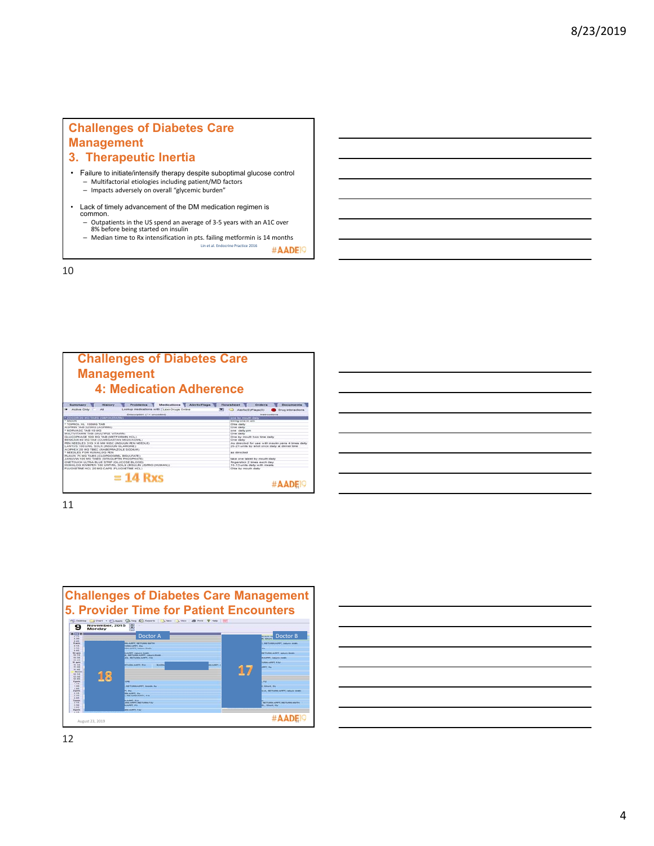### **Challenges of Diabetes Care Management 3. Therapeutic Inertia**

- Failure to initiate/intensify therapy despite suboptimal glucose control – Multifactorial etiologies including patient/MD factors – Impacts adversely on overall "glycemic burden"
- Lack of timely advancement of the DM medication regimen is common.
	- Outpatients in the US spend an average of 3-5 years with an A1C over<br>– 8% before being started on insulin<br>– Median time to Rx intensification in pts. failing metformin is 14 months
		- Lin et al. Endocrine Practice 2016

#AADE<sup>19</sup>

10

| <b>Challenges of Diabetes Care</b><br><b>Management</b><br>4: Medication Adherence    |                                                   |
|---------------------------------------------------------------------------------------|---------------------------------------------------|
| <b>Medications</b><br>Aberta/Flags<br><b>Proditerry</b><br>Summary<br><b>Hiladoor</b> | <b>Flowraters!</b><br><b>Documents</b><br>Orders  |
| Lookup medications with 1 Lexi-Drugs Online<br><b>Active Only</b><br>48               | Abertu (D'aTiagar) D'i<br>Drug interestions       |
| Description (* ~ uncoded)                                                             | <b>BLACK LICENSON</b>                             |
| <b>CAGE TAURE FEATURE TATION</b>                                                      | area by mouth deby                                |
| MACHINE                                                                               | dong one in am                                    |
| TOPROL XL TOOMG TAB                                                                   | ONe daily                                         |
| ASPER TAB 325MG CASPERD                                                               | One daty                                          |
| NORVASC TAB 10 MG                                                                     | one daty on                                       |
| MULTIVITAMIN TAB (MULTIPLE VITAMIN)<br>GLUCOPHAGE 500 MG TAB (METFORMIN HCL)          | One daty<br>One by mouth two time daily           |
| BENICAR 40 MG TAB (OLMESARTAN MEDOXOME)                                               | One daily                                         |
| PEN NEEDLES 31G X 6 MM MISC (INSULIN PEN NEEDLE).                                     | As directed for use with moule pens 4 lines daily |
| LANTUS 100 UAIL SOLN (INSULIN OLARGINE)                                               | 20-21 units by shot once daily at dinner time     |
| ACPHEX 20 MG TBEC (RABEFRAZOLE SODIJM)                                                |                                                   |
| NEEDLES FOR HUMALOG PEN                                                               | as directed                                       |
| RLAVIX 75 MG TABS (CLOPDOGREL BELILFATE)                                              |                                                   |
| JANUVA 100 MO TARS (SITAGLIFTI) PHOSPHATE)                                            | take one taked by mouth daily                     |
| ONETOUCH ULTRA BLUE STRP (OLUCOSE BLOOD)                                              | fingeralics 2 tessa each day                      |
| HUMALOG KWIKINI 100 UNITAR, SOLN GRISLER LISPRO (HUMAN))                              | 10-13 unda daily with meals.                      |
| FLUOXETINE HCL 20 MG CAPS (FLUOXETINE HCL)                                            | Ofte by mouth daily                               |
| $= 14$ Rxs                                                                            | #AADE <sub>IS</sub>                               |

| ۰. |   |
|----|---|
|    | ۰ |



| <u> 2000 - Andrea Andrew Amerikaanse kommunister († 18</u>                                                           |  |  |  |
|----------------------------------------------------------------------------------------------------------------------|--|--|--|
| <u> 1989 - Johann Barn, amerikansk politiker (d. 1989)</u>                                                           |  |  |  |
| <u> 2000 - Andrea Andrew Amerikaanse kommunister († 18</u>                                                           |  |  |  |
| <u> 1989 - Johann Barbara, marka a shekara tsa na shekara tsa na shekara tsa 1989 - An tsa na shekara tsa 1989 -</u> |  |  |  |
| <u> 1989 - Johann Barn, fransk politik amerikansk politik (</u>                                                      |  |  |  |
|                                                                                                                      |  |  |  |
|                                                                                                                      |  |  |  |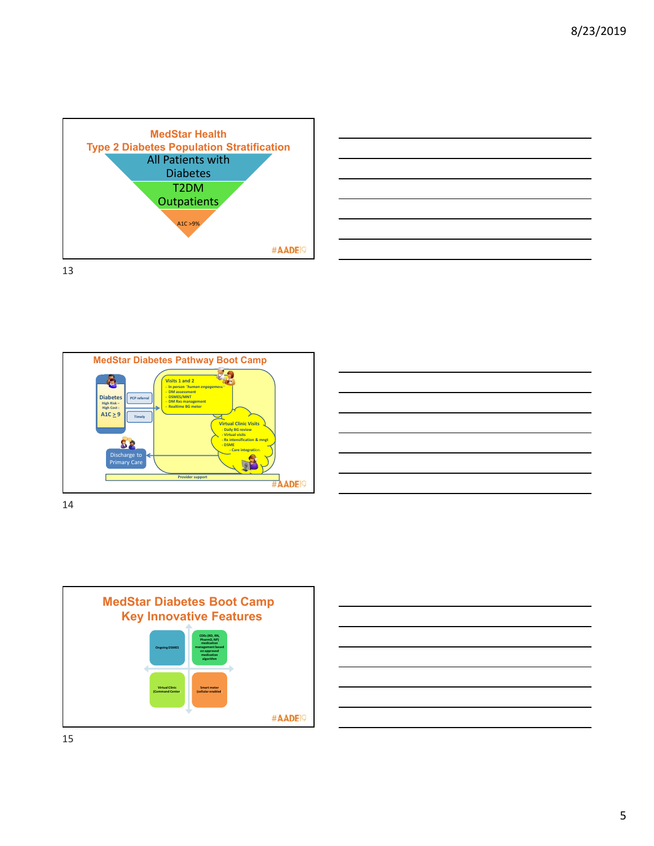









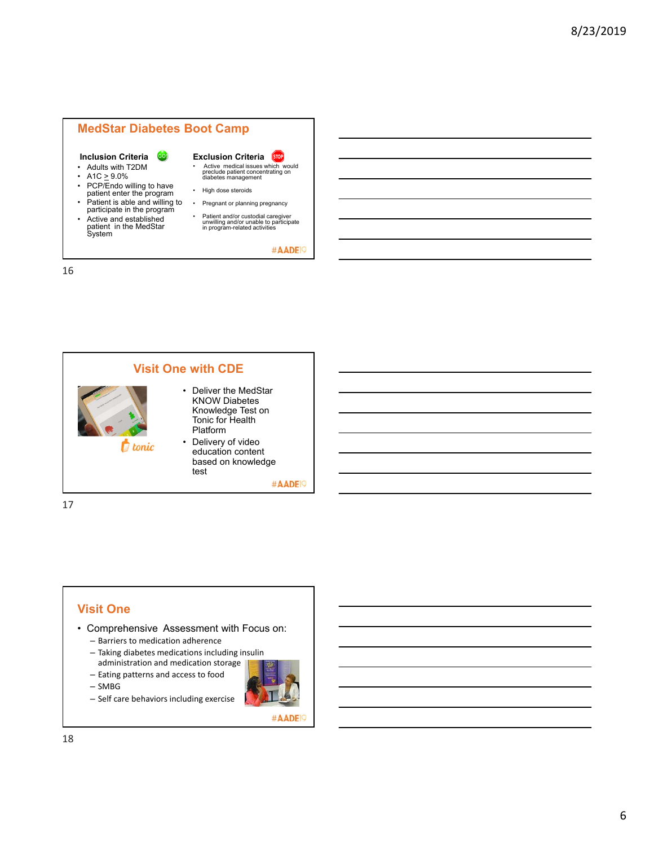#### **MedStar Diabetes Boot Camp**

#### **Inclusion Criteria**

- Adults with T2DM
- A1C  $\geq$  9.0%
- PCP/Endo willing to have patient enter the program
- Patient is able and willing to participate in the program
- Active and established patient in the MedStar System

**Exclusion Criteria STOP** • Active medical issues which would preclude patient concentrating on diabetes management

- High dose steroids
- Pregnant or planning pregnancy
- Patient and/or custodial caregiver unwilling and/or unable to participate in program-related activities

#AADE<sup>19</sup>

**Visit One with CDE** • Deliver the MedStar KNOW Diabetes Knowledge Test on Tonic for Health Platform • Delivery of video *<u>f</u>* tonic education content based on knowledge test #AADE<sup>19</sup>

17

16

#### **Visit One**

- Comprehensive Assessment with Focus on:
	- Barriers to medication adherence
	- Taking diabetes medications including insulin administration and medication storage
	- Eating patterns and access to food
	- SMBG
	- Self care behaviors including exercise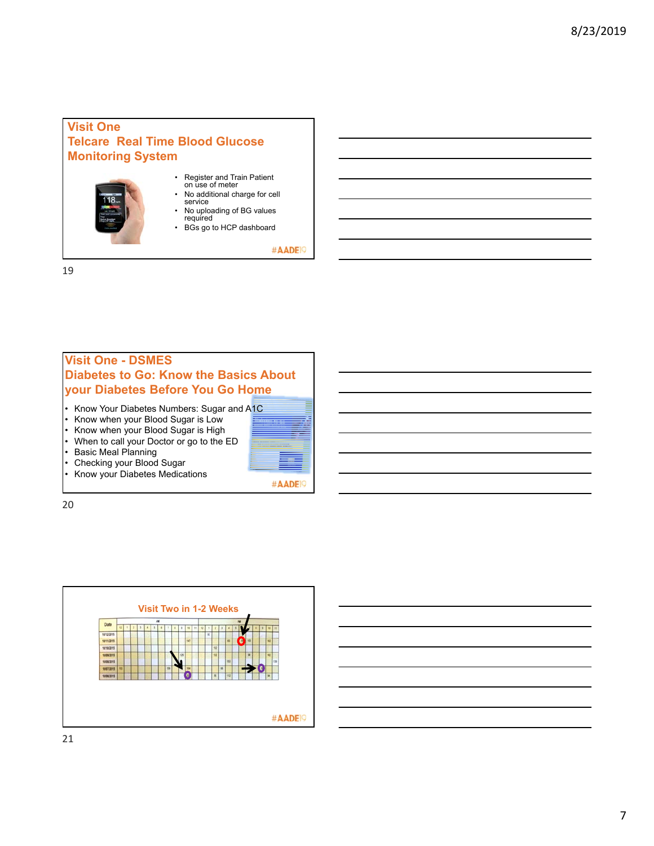### **Visit One Telcare Real Time Blood Glucose Monitoring System**

- Register and Train Patient on use of meter
- No additional charge for cell service • No uploading of BG values
- required
- BGs go to HCP dashboard

#AADE<sup>19</sup>

19

# **Visit One - DSMES Diabetes to Go: Know the Basics About your Diabetes Before You Go Home**

- Know Your Diabetes Numbers: Sugar and A1C
- Know when your Blood Sugar is Low
- Know when your Blood Sugar is High
- When to call your Doctor or go to the ED
- Basic Meal Planning
- Checking your Blood Sugar
- Know your Diabetes Medications





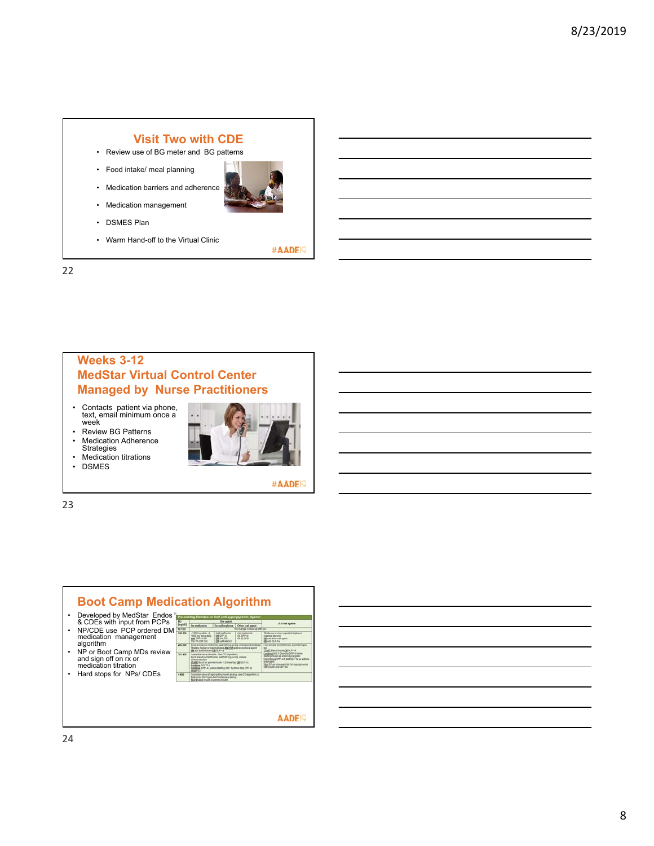#### **Visit Two with CDE**

- Review use of BG meter and BG patterns
- Food intake/ meal planning
- Medication barriers and adherence
- Medication management
- 
- DSMES Plan
- Warm Hand-off to the Virtual Clinic

#AADE<sup>19</sup>

22

### **Weeks 3-12 MedStar Virtual Control Center Managed by Nurse Practitioners**

- Contacts patient via phone, text, email minimum once a week
- Review BG Patterns • Medication Adherence
- **Strategies**
- Medication titrations • DSMES
- 

#AADE<sup>9</sup>

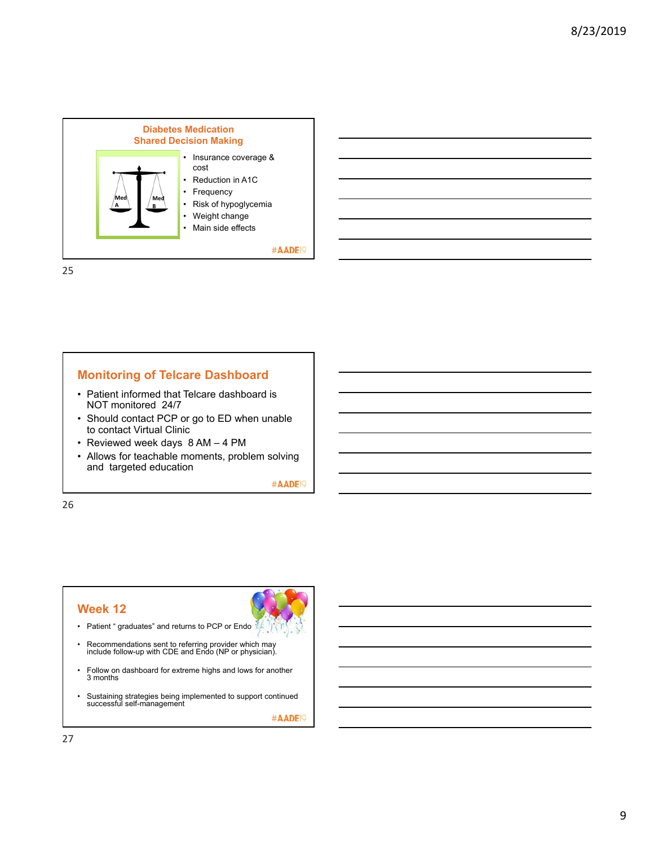

25

#### **Monitoring of Telcare Dashboard**

- Patient informed that Telcare dashboard is NOT monitored 24/7
- Should contact PCP or go to ED when unable to contact Virtual Clinic
- Reviewed week days 8 AM 4 PM
- Allows for teachable moments, problem solving and targeted education

#AADE<sup>19</sup>

26

#### **Week 12**

- Patient " graduates" and returns to PCP or Endo
- Recommendations sent to referring provider which may include follow-up with CDE and Endo (NP or physician).
- Follow on dashboard for extreme highs and lows for another 3 months
- Sustaining strategies being implemented to support continued successful self-management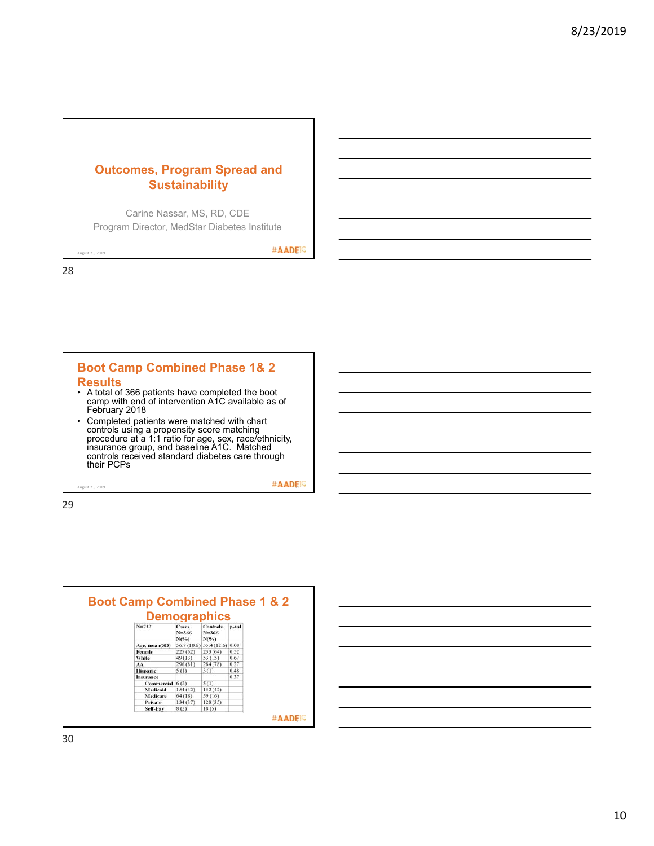## **Outcomes, Program Spread and Sustainability**

Carine Nassar, MS, RD, CDE Program Director, MedStar Diabetes Institute

 $\mathcal{A}_{\text{A}}$   $\mathbf{A}_{\text{D}}$   $\mathbf{D}_{\text{E}}$   $\mathbf{D}_{\text{A}}$ 

28

#### **Boot Camp Combined Phase 1& 2 Results** • A total of 366 patients have completed the boot camp with end of intervention A1C available as of February 2018 • Completed patients were matched with chart controls using a propensity score matching procedure at a 1:1 ratio for age, sex, race/ethnicity, insurance group, and baseline A1C. Matched controls received standard diabetes care through

 $\#$  AOP

29

their PCPs

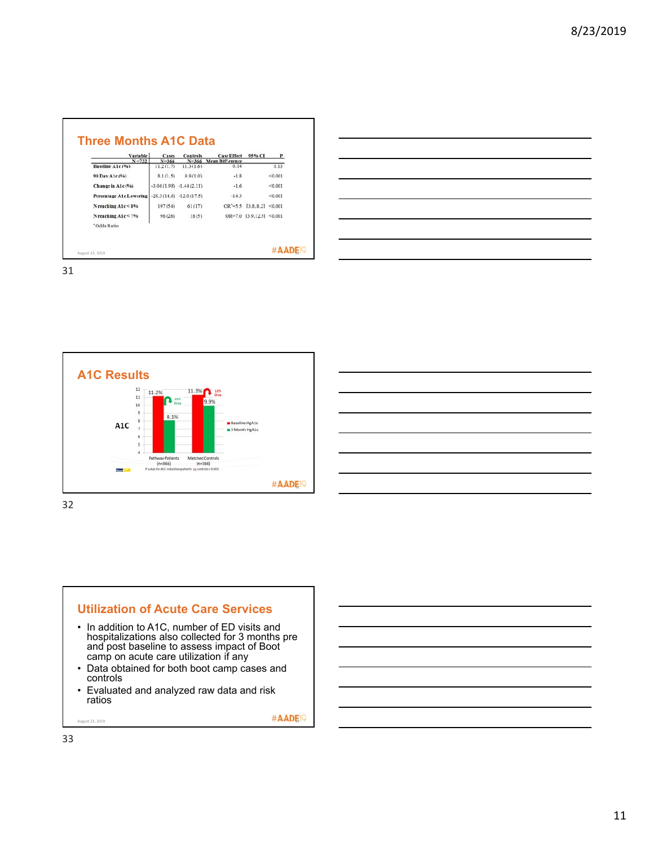| Variable                      | Cases                  | <b>Controls</b>           | <b>Case Effect</b>             | 95% CI              | P       |
|-------------------------------|------------------------|---------------------------|--------------------------------|---------------------|---------|
| $N = 732$<br>Baseline A1c (%) | $N = 366$<br>11.2(1.7) | $N = 366$<br>11.3(1.6)    | <b>Mean Difference</b><br>0.14 |                     | 0.13    |
|                               |                        |                           |                                |                     |         |
| 90 Day A1c(%)                 | 8.1(1.5)               | 9.9(1.0)                  | $-1.8$                         |                     | < 0.001 |
| Change in A1c(%)              |                        | $-3.06(1.98) -1.44(2.11)$ | $-1.6$                         |                     | < 0.001 |
| Percentage A1c Lowering       |                        | $-26.3(14.6) -12.0(17.5)$ | $-14.3$                        |                     | < 0.001 |
| $N$ reaching $A1c < 8%$       | 197(54)                | 61(17)                    | $OR' = 5.5$                    | [3.8.8.2]           | < 0.001 |
| N reaching A1c < 7%           | 96(26)                 | 18(5)                     | $OR=7.0$                       | $[3.9.12.5]$ <0.001 |         |
| *Odds Ratio                   |                        |                           |                                |                     |         |

31





- and post baseline to assess impact of Boot camp on acute care utilization if any
- Data obtained for both boot camp cases and controls
- Evaluated and analyzed raw data and risk ratios

 $\text{AOD}_{\text{S}}$   $\text{AOD}_{\text{S}}$   $\text{AOD}_{\text{S}}$   $\text{AOD}_{\text{S}}$   $\text{AOD}_{\text{S}}$   $\text{AOD}_{\text{S}}$   $\text{AOD}_{\text{S}}$   $\text{AOD}_{\text{S}}$   $\text{AOD}_{\text{S}}$   $\text{AOD}_{\text{S}}$   $\text{AOD}_{\text{S}}$   $\text{AOD}_{\text{S}}$   $\text{AOD}_{\text{S}}$   $\text{AOD}_{\text{S}}$   $\text{AOD}_{\text{S}}$   $\text{AOD}_{\text{S$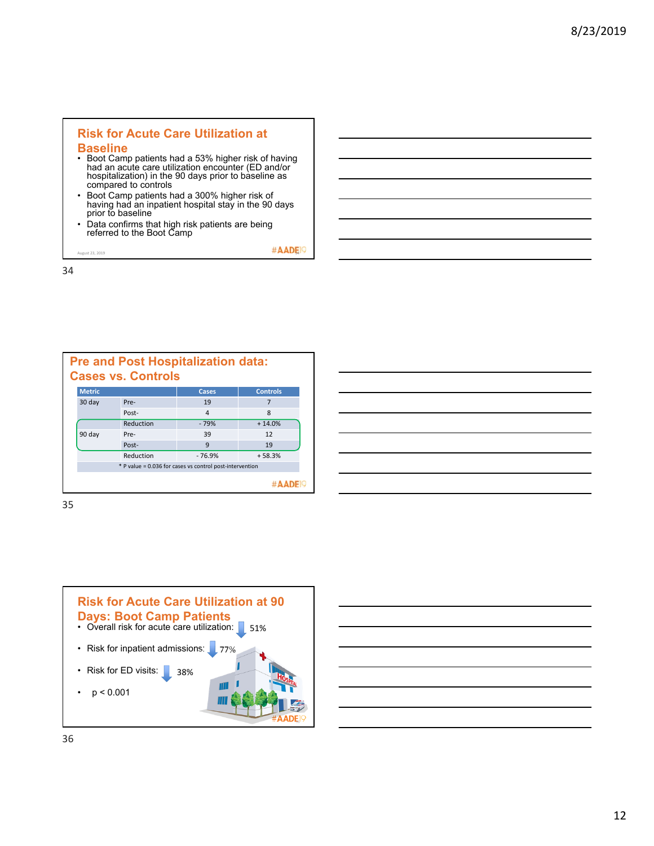# **Risk for Acute Care Utilization at**

#### **Baseline**

- Boot Camp patients had a 53% higher risk of having had an acute care utilization encounter (ED and/or hospitalization) in the 90 days prior to baseline as compared to controls
- Boot Camp patients had a 300% higher risk of having had an inpatient hospital stay in the 90 days prior to baseline
- Data confirms that high risk patients are being referred to the Boot Camp

 $\#$ **AADE**<sup>1</sub></sup>

34

|               | <b>Pre and Post Hospitalization data:</b><br><b>Cases vs. Controls</b> |                                                          |                 |
|---------------|------------------------------------------------------------------------|----------------------------------------------------------|-----------------|
| <b>Metric</b> |                                                                        | Cases                                                    | <b>Controls</b> |
| 30 day        | Pre-                                                                   | 19                                                       |                 |
|               | Post-                                                                  | $\overline{4}$                                           | 8               |
|               | Reduction                                                              | $-79%$                                                   | $+14.0%$        |
| 90 day        | Pre-                                                                   | 39                                                       | 12              |
|               | Post-                                                                  | 9                                                        | 19              |
|               | Reduction                                                              | $-76.9%$                                                 | $+58.3%$        |
|               |                                                                        | * P value = 0.036 for cases vs control post-intervention |                 |
|               |                                                                        |                                                          |                 |

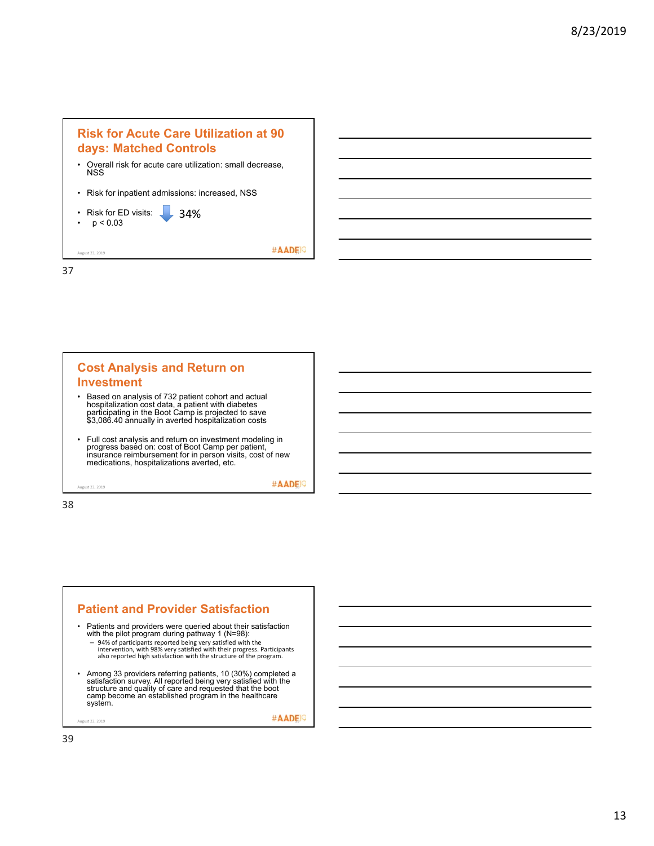

37



38



 $\#$  AADE,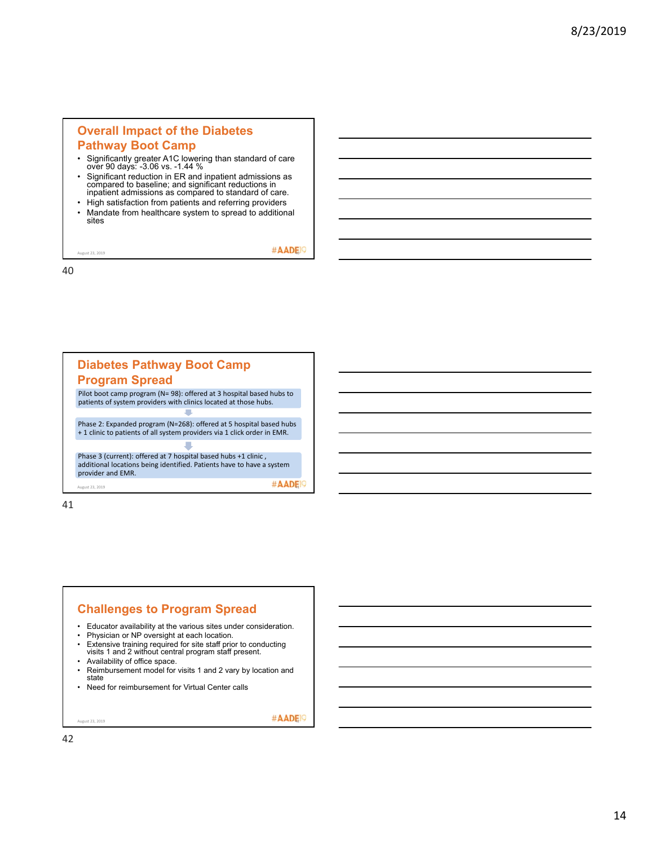#### **Overall Impact of the Diabetes Pathway Boot Camp**

- Significantly greater A1C lowering than standard of care over 90 days: -3.06 vs. -1.44 %
- Significant reduction in ER and inpatient admissions as compared to baseline; and significant reductions in inpatient admissions as compared to standard of care.
- High satisfaction from patients and referring providers<br>• Mandate from healthcare system to spread to additiona
- Mandate from healthcare system to spread to additional sites

 $\#$  AADE,  $\bigcirc$ 

40

| <b>Diabetes Pathway Boot Camp</b><br><b>Program Spread</b>                                                                                                   |
|--------------------------------------------------------------------------------------------------------------------------------------------------------------|
| Pilot boot camp program (N= 98): offered at 3 hospital based hubs to<br>patients of system providers with clinics located at those hubs.                     |
|                                                                                                                                                              |
| Phase 2: Expanded program (N=268): offered at 5 hospital based hubs<br>+1 clinic to patients of all system providers via 1 click order in EMR.               |
|                                                                                                                                                              |
| Phase 3 (current): offered at 7 hospital based hubs +1 clinic,<br>additional locations being identified. Patients have to have a system<br>provider and EMR. |
| August 23, 2019                                                                                                                                              |

41

#### **Challenges to Program Spread**

- Educator availability at the various sites under consideration.
- Physician or NP oversight at each location.<br>• Extensive training required for site staff prior
- Extensive training required for site staff prior to conducting visits 1 and 2 without central program staff present.
- Availability of office space.
- Reimbursement model for visits 1 and 2 vary by location and state
- Need for reimbursement for Virtual Center calls

 $\mathcal{A}_{\text{A}}$   $\mathbf{AD}$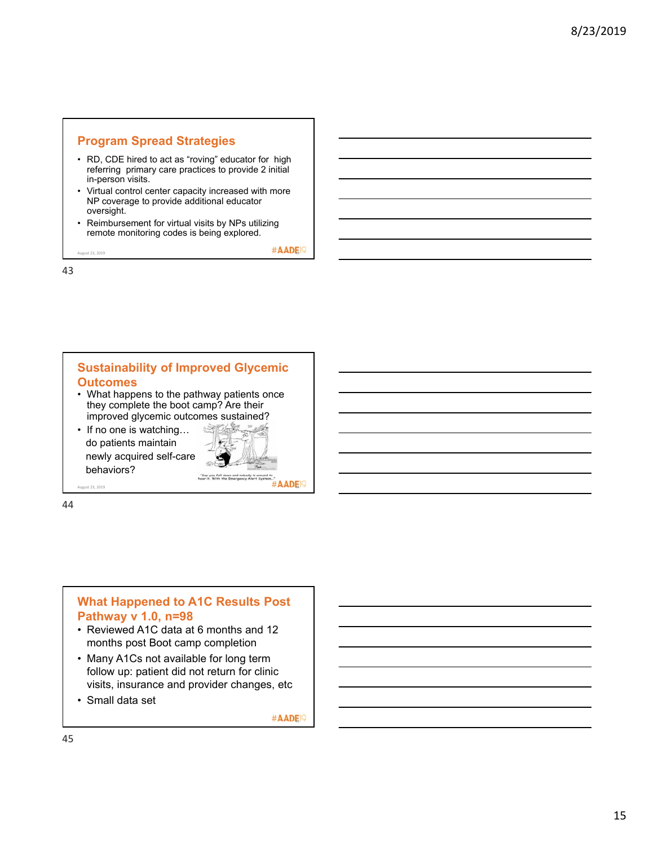# **Program Spread Strategies**

- RD, CDE hired to act as "roving" educator for high referring primary care practices to provide 2 initial in-person visits.
- Virtual control center capacity increased with more NP coverage to provide additional educator oversight.
- Reimbursement for virtual visits by NPs utilizing remote monitoring codes is being explored.

 $\text{A}}$ August 23, 2019

43

#### **Sustainability of Improved Glycemic Outcomes** • What happens to the pathway patients once

- they complete the boot camp? Are their improved glycemic outcomes sustained?
- If no one is watching... do patients maintain newly acquired self-care behaviors?



44

#### **What Happened to A1C Results Post Pathway v 1.0, n=98**

- Reviewed A1C data at 6 months and 12 months post Boot camp completion
- Many A1Cs not available for long term follow up: patient did not return for clinic visits, insurance and provider changes, etc
- Small data set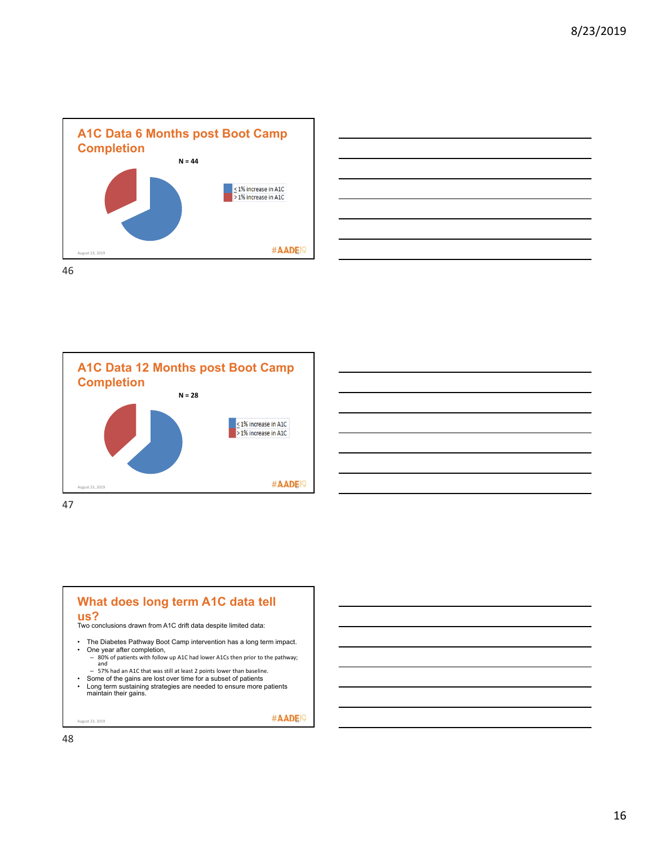









- 57% had an A1C that was still at least 2 points lower than baseline.
- Some of the gains are lost over time for a subset of patients Long term sustaining strategies are needed to ensure more patients maintain their gains.

 $\mathcal{A}$ ugust 23, 2019